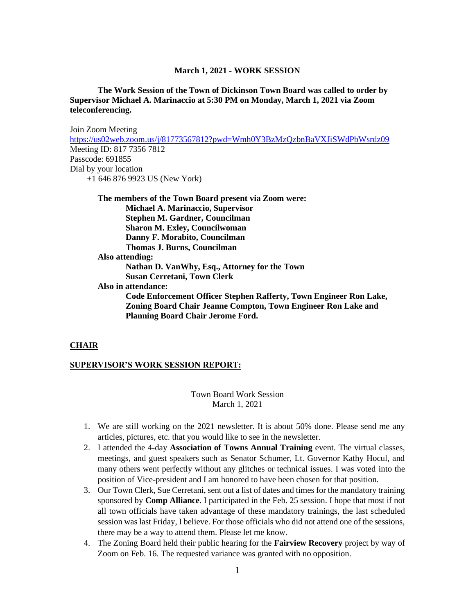#### **March 1, 2021 - WORK SESSION**

**The Work Session of the Town of Dickinson Town Board was called to order by Supervisor Michael A. Marinaccio at 5:30 PM on Monday, March 1, 2021 via Zoom teleconferencing.**

Join Zoom Meeting <https://us02web.zoom.us/j/81773567812?pwd=Wmh0Y3BzMzQzbnBaVXJiSWdPbWsrdz09> Meeting ID: 817 7356 7812 Passcode: 691855 Dial by your location +1 646 876 9923 US (New York)

**The members of the Town Board present via Zoom were: Michael A. Marinaccio, Supervisor Stephen M. Gardner, Councilman Sharon M. Exley, Councilwoman Danny F. Morabito, Councilman Thomas J. Burns, Councilman Also attending: Nathan D. VanWhy, Esq., Attorney for the Town Susan Cerretani, Town Clerk Also in attendance: Code Enforcement Officer Stephen Rafferty, Town Engineer Ron Lake,** 

**Zoning Board Chair Jeanne Compton, Town Engineer Ron Lake and Planning Board Chair Jerome Ford.**

#### **CHAIR**

#### **SUPERVISOR'S WORK SESSION REPORT:**

Town Board Work Session March 1, 2021

- 1. We are still working on the 2021 newsletter. It is about 50% done. Please send me any articles, pictures, etc. that you would like to see in the newsletter.
- 2. I attended the 4-day **Association of Towns Annual Training** event. The virtual classes, meetings, and guest speakers such as Senator Schumer, Lt. Governor Kathy Hocul, and many others went perfectly without any glitches or technical issues. I was voted into the position of Vice-president and I am honored to have been chosen for that position.
- 3. Our Town Clerk, Sue Cerretani, sent out a list of dates and times for the mandatory training sponsored by **Comp Alliance**. I participated in the Feb. 25 session. I hope that most if not all town officials have taken advantage of these mandatory trainings, the last scheduled session was last Friday, I believe. For those officials who did not attend one of the sessions, there may be a way to attend them. Please let me know.
- 4. The Zoning Board held their public hearing for the **Fairview Recovery** project by way of Zoom on Feb. 16. The requested variance was granted with no opposition.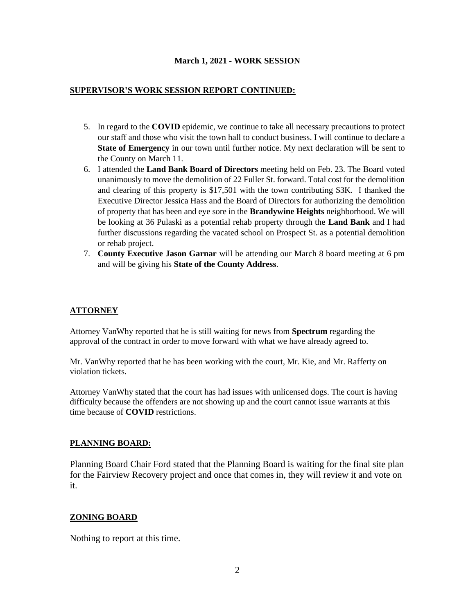# **March 1, 2021 - WORK SESSION**

# **SUPERVISOR'S WORK SESSION REPORT CONTINUED:**

- 5. In regard to the **COVID** epidemic, we continue to take all necessary precautions to protect our staff and those who visit the town hall to conduct business. I will continue to declare a **State of Emergency** in our town until further notice. My next declaration will be sent to the County on March 11.
- 6. I attended the **Land Bank Board of Directors** meeting held on Feb. 23. The Board voted unanimously to move the demolition of 22 Fuller St. forward. Total cost for the demolition and clearing of this property is \$17,501 with the town contributing \$3K. I thanked the Executive Director Jessica Hass and the Board of Directors for authorizing the demolition of property that has been and eye sore in the **Brandywine Heights** neighborhood. We will be looking at 36 Pulaski as a potential rehab property through the **Land Bank** and I had further discussions regarding the vacated school on Prospect St. as a potential demolition or rehab project.
- 7. **County Executive Jason Garnar** will be attending our March 8 board meeting at 6 pm and will be giving his **State of the County Address**.

# **ATTORNEY**

Attorney VanWhy reported that he is still waiting for news from **Spectrum** regarding the approval of the contract in order to move forward with what we have already agreed to.

Mr. VanWhy reported that he has been working with the court, Mr. Kie, and Mr. Rafferty on violation tickets.

Attorney VanWhy stated that the court has had issues with unlicensed dogs. The court is having difficulty because the offenders are not showing up and the court cannot issue warrants at this time because of **COVID** restrictions.

# **PLANNING BOARD:**

Planning Board Chair Ford stated that the Planning Board is waiting for the final site plan for the Fairview Recovery project and once that comes in, they will review it and vote on it.

# **ZONING BOARD**

Nothing to report at this time.